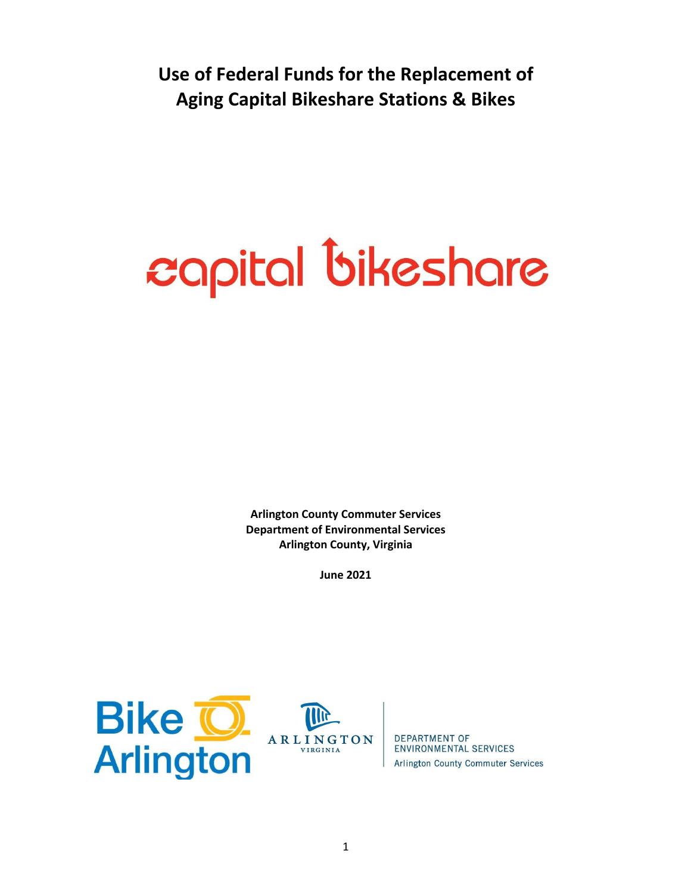**Use of Federal Funds for the Replacement of Aging Capital Bikeshare Stations & Bikes**

## capital bikeshare

**Arlington County Commuter Services Department of Environmental Services Arlington County, Virginia**

**June 2021**





**DEPARTMENT OF ENVIRONMENTAL SERVICES Arlington County Commuter Services**